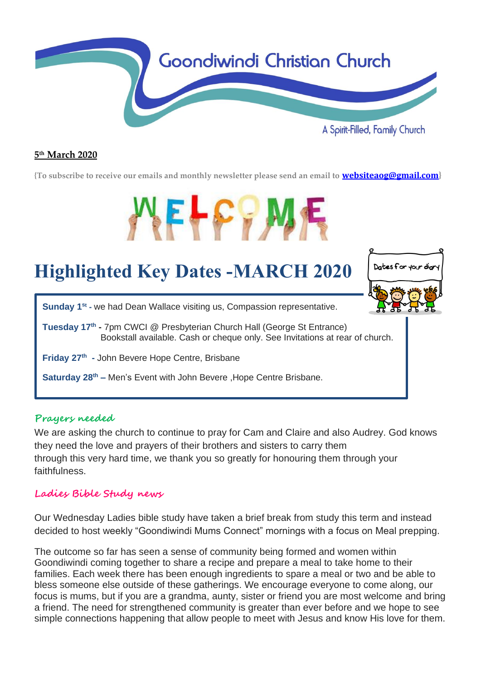

#### **5 th March 2020**

**{To subscribe to receive our emails and monthly newsletter please send an email to [websiteaog@gmail.com](mailto:websiteaog@gmail.com)}**

# WELFFA

## **Highlighted Key Dates -MARCH 2020**



**Sunday 1<sup>st</sup>** - we had Dean Wallace visiting us, Compassion representative.

**Tuesday 17th -** 7pm CWCI @ Presbyterian Church Hall (George St Entrance) Bookstall available. Cash or cheque only. See Invitations at rear of church.

**Friday 27th -** John Bevere Hope Centre, Brisbane

**Saturday 28th –** Men's Event with John Bevere ,Hope Centre Brisbane.

#### **Prayers needed**

We are asking the church to continue to pray for Cam and Claire and also Audrey. God knows they need the love and prayers of their brothers and sisters to carry them through this very hard time, we thank you so greatly for honouring them through your faithfulness.

#### **Ladies Bible Study news**

Our Wednesday Ladies bible study have taken a brief break from study this term and instead decided to host weekly "Goondiwindi Mums Connect" mornings with a focus on Meal prepping.

The outcome so far has seen a sense of community being formed and women within Goondiwindi coming together to share a recipe and prepare a meal to take home to their families. Each week there has been enough ingredients to spare a meal or two and be able to bless someone else outside of these gatherings. We encourage everyone to come along, our focus is mums, but if you are a grandma, aunty, sister or friend you are most welcome and bring a friend. The need for strengthened community is greater than ever before and we hope to see simple connections happening that allow people to meet with Jesus and know His love for them.